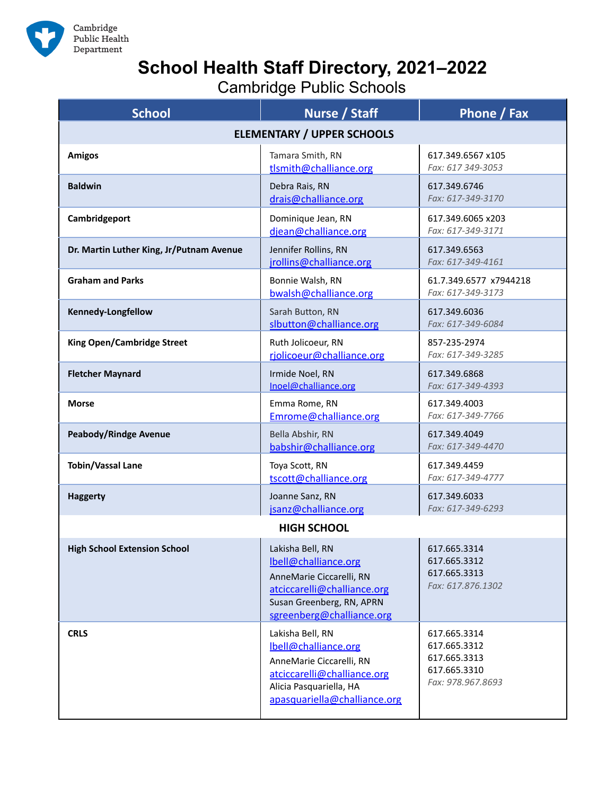

## **School Health Staff Directory, 2021–2022**

Cambridge Public Schools

| <b>School</b>                            | Nurse / Staff                                                                                                                                                  | Phone / Fax                                                                       |
|------------------------------------------|----------------------------------------------------------------------------------------------------------------------------------------------------------------|-----------------------------------------------------------------------------------|
| <b>ELEMENTARY / UPPER SCHOOLS</b>        |                                                                                                                                                                |                                                                                   |
| <b>Amigos</b>                            | Tamara Smith, RN<br>tlsmith@challiance.org                                                                                                                     | 617.349.6567 x105<br>Fax: 617 349-3053                                            |
| <b>Baldwin</b>                           | Debra Rais, RN<br>drais@challiance.org                                                                                                                         | 617.349.6746<br>Fax: 617-349-3170                                                 |
| Cambridgeport                            | Dominique Jean, RN<br>djean@challiance.org                                                                                                                     | 617.349.6065 x203<br>Fax: 617-349-3171                                            |
| Dr. Martin Luther King, Jr/Putnam Avenue | Jennifer Rollins, RN<br>jrollins@challiance.org                                                                                                                | 617.349.6563<br>Fax: 617-349-4161                                                 |
| <b>Graham and Parks</b>                  | Bonnie Walsh, RN<br>bwalsh@challiance.org                                                                                                                      | 61.7.349.6577 x7944218<br>Fax: 617-349-3173                                       |
| Kennedy-Longfellow                       | Sarah Button, RN<br>slbutton@challiance.org                                                                                                                    | 617.349.6036<br>Fax: 617-349-6084                                                 |
| <b>King Open/Cambridge Street</b>        | Ruth Jolicoeur, RN<br>riolicoeur@challiance.org                                                                                                                | 857-235-2974<br>Fax: 617-349-3285                                                 |
| <b>Fletcher Maynard</b>                  | Irmide Noel, RN<br>Inoel@challiance.org                                                                                                                        | 617.349.6868<br>Fax: 617-349-4393                                                 |
| <b>Morse</b>                             | Emma Rome, RN<br>Emrome@challiance.org                                                                                                                         | 617.349.4003<br>Fax: 617-349-7766                                                 |
| <b>Peabody/Rindge Avenue</b>             | Bella Abshir, RN<br>babshir@challiance.org                                                                                                                     | 617.349.4049<br>Fax: 617-349-4470                                                 |
| <b>Tobin/Vassal Lane</b>                 | Toya Scott, RN<br>tscott@challiance.org                                                                                                                        | 617.349.4459<br>Fax: 617-349-4777                                                 |
| <b>Haggerty</b>                          | Joanne Sanz, RN<br>jsanz@challiance.org                                                                                                                        | 617.349.6033<br>Fax: 617-349-6293                                                 |
| <b>HIGH SCHOOL</b>                       |                                                                                                                                                                |                                                                                   |
| <b>High School Extension School</b>      | Lakisha Bell, RN<br>lbell@challiance.org<br>AnneMarie Ciccarelli, RN<br>atciccarelli@challiance.org<br>Susan Greenberg, RN, APRN<br>sgreenberg@challiance.org  | 617.665.3314<br>617.665.3312<br>617.665.3313<br>Fax: 617.876.1302                 |
| <b>CRLS</b>                              | Lakisha Bell, RN<br>lbell@challiance.org<br>AnneMarie Ciccarelli, RN<br>atciccarelli@challiance.org<br>Alicia Pasquariella, HA<br>apasquariella@challiance.org | 617.665.3314<br>617.665.3312<br>617.665.3313<br>617.665.3310<br>Fax: 978.967.8693 |